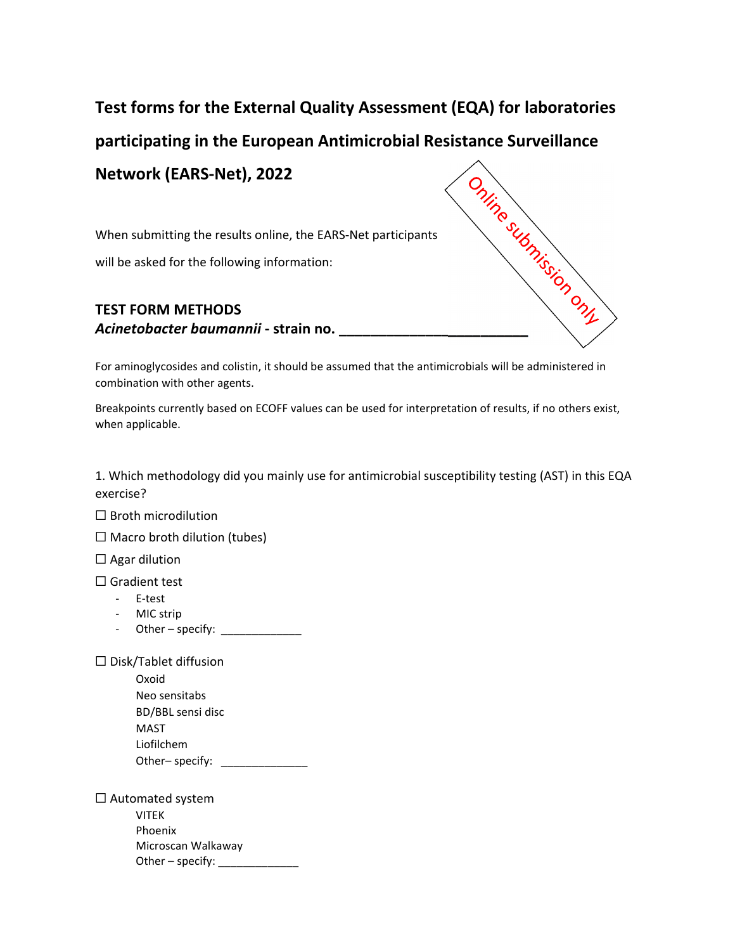## **Test forms for the External Quality Assessment (EQA) for laboratories**

**participating in the European Antimicrobial Resistance Surveillance**

**Network (EARS‐Net), 2022**

When submitting the results online, the EARS‐Net participants

will be asked for the following information:

## **TEST FORM METHODS Active CONDEX (PREMA)**<br>
When submitting the results online, the EARS-Net parameters<br>
will be asked for the following information:<br> **Acinetobacter baumannii** - strain no.

For aminoglycosides and colistin, it should be assumed that the antimicrobials will be administered in combination with other agents.

Breakpoints currently based on ECOFF values can be used for interpretation of results, if no others exist, when applicable.

1. Which methodology did you mainly use for antimicrobial susceptibility testing (AST) in this EQA exercise?

☐ Broth microdilution

 $\Box$  Macro broth dilution (tubes)

 $\Box$  Agar dilution

☐ Gradient test

- ‐ E‐test
- ‐ MIC strip
- ‐ Other specify: \_\_\_\_\_\_\_\_\_\_\_\_\_

☐ Disk/Tablet diffusion

Oxoid Neo sensitabs BD/BBL sensi disc MAST Liofilchem Other– specify: \_\_\_\_\_\_\_\_\_\_\_\_\_\_\_

☐ Automated system VITEK Phoenix Microscan Walkaway Other – specify: \_\_\_\_\_\_\_\_\_\_\_\_\_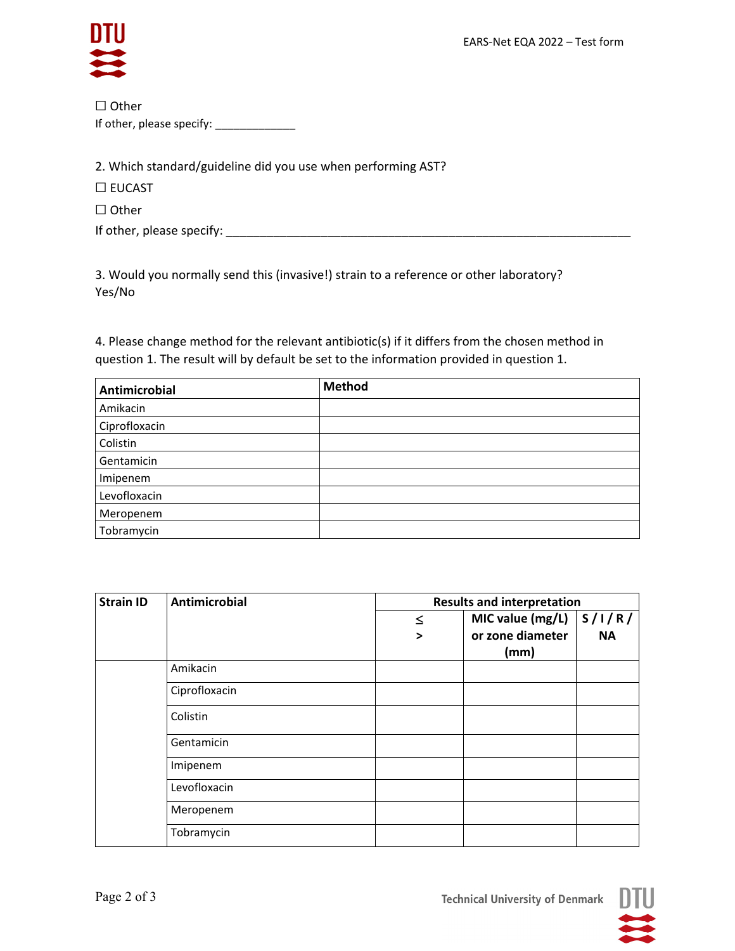

| $\Box$ Other              |
|---------------------------|
| If other, please specify: |

2. Which standard/guideline did you use when performing AST?

☐ EUCAST

☐ Other

If other, please specify: \_\_\_\_\_\_\_\_\_\_\_\_\_\_\_\_\_\_\_\_\_\_\_\_\_\_\_\_\_\_\_\_\_\_\_\_\_\_\_\_\_\_\_\_\_\_\_\_\_\_\_\_\_\_\_\_\_\_\_\_

3. Would you normally send this (invasive!) strain to a reference or other laboratory? Yes/No

4. Please change method for the relevant antibiotic(s) if it differs from the chosen method in question 1. The result will by default be set to the information provided in question 1.

| Antimicrobial | <b>Method</b> |
|---------------|---------------|
| Amikacin      |               |
| Ciprofloxacin |               |
| Colistin      |               |
| Gentamicin    |               |
| Imipenem      |               |
| Levofloxacin  |               |
| Meropenem     |               |
| Tobramycin    |               |

| <b>Strain ID</b> | <b>Antimicrobial</b> | <b>Results and interpretation</b> |                  |           |  |  |  |
|------------------|----------------------|-----------------------------------|------------------|-----------|--|--|--|
|                  |                      | $\leq$                            | MIC value (mg/L) | S/1/R/    |  |  |  |
|                  |                      | $\geq$                            | or zone diameter | <b>NA</b> |  |  |  |
|                  |                      |                                   | (mm)             |           |  |  |  |
|                  | Amikacin             |                                   |                  |           |  |  |  |
|                  | Ciprofloxacin        |                                   |                  |           |  |  |  |
|                  | Colistin             |                                   |                  |           |  |  |  |
|                  | Gentamicin           |                                   |                  |           |  |  |  |
|                  | Imipenem             |                                   |                  |           |  |  |  |
|                  | Levofloxacin         |                                   |                  |           |  |  |  |
|                  | Meropenem            |                                   |                  |           |  |  |  |
|                  | Tobramycin           |                                   |                  |           |  |  |  |